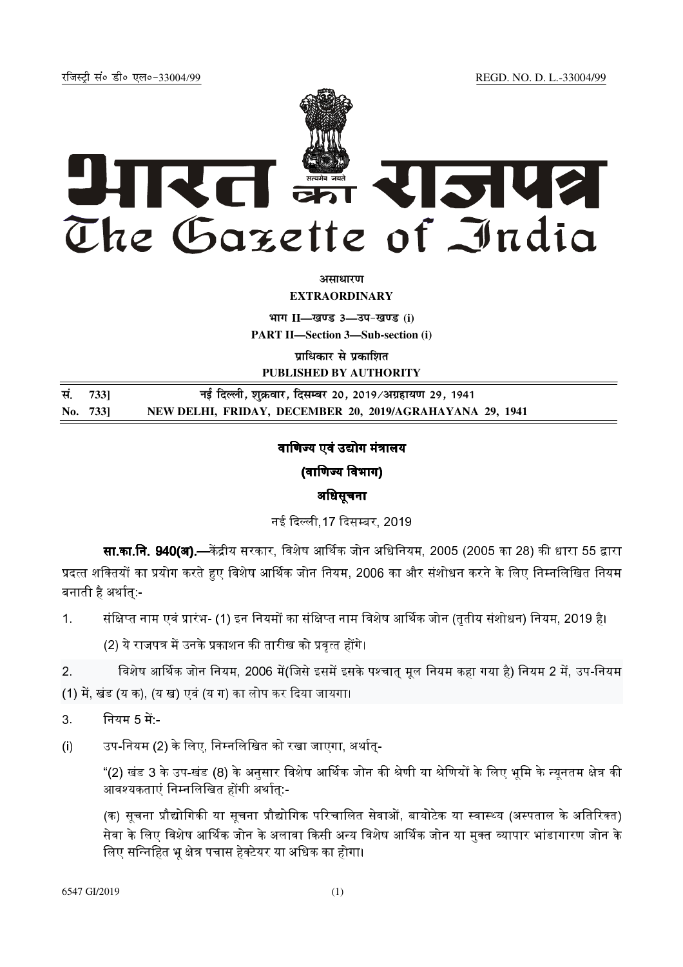REGD. NO. D. L.-33004/99

रजिस्टी सं० डी० एल०-33004/99



अमाधारण

**EXTRAORDINARY** 

भाग II-खण्ड 3-उप-खण्ड (i)

**PART II-Section 3-Sub-section (i)** 

प्राधिकार से प्रकाशित

PUBLISHED BY AUTHORITY

| सं. 7331 | नई दिल्ली, शुक्रवार, दिसम्बर 20, 2019/अग्रहायण 29, 1941  |
|----------|----------------------------------------------------------|
| No. 733  | NEW DELHI, FRIDAY, DECEMBER 20, 2019/AGRAHAYANA 29, 1941 |

# वाणिज्य एवं उद्योग मंत्रालय

(वाणिज्य विभाग)

# अधिसूचना

नई दिल्ली 17 दिसम्बर, 2019

**सा.का.नि. 940(अ).—**केंद्रीय सरकार, विशेष आर्थिक जोन अधिनियम, 2005 (2005 का 28) की धारा 55 द्वारा प्रदत्त शक्तियों का प्रयोग करते हुए विशेष आर्थिक जोन नियम, 2006 का और संशोधन करने के लिए निम्नलिखित नियम बनाती है अर्थात् -

संक्षिप्त नाम एवं प्रारंभ- (1) इन नियमों का संक्षिप्त नाम विशेष आर्थिक जोन (ततीय संशोधन) नियम, 2019 है।  $\overline{1}$ .

(2) ये राजपत्र में उनके प्रकाशन की तारीख को प्रवृत्त होंगे।

 $2<sup>1</sup>$ विशेष आर्थिक जोन नियम, 2006 में(जिसे इसमें इसके पश्चात् मूल नियम कहा गया है) नियम 2 में, उप-नियम (1) में, खंड (य क), (य ख) एवं (य ग) का लोप कर दिया जायगा।

नियम 5 में:**-** $3<sup>1</sup>$ 

 $(i)$ उप-नियम (2) के लिए, निम्नलिखित को रखा जाएगा, अर्थात्-

> "(2) खंड 3 के उप-खंड (8) के अनुसार विशेष आर्थिक जोन की श्रेणी या श्रेणियों के लिए भूमि के न्यूनतम क्षेत्र की आवश्यकताएं निम्नलिखित होंगी अर्थातु:-

> (क) सूचना प्रौद्योगिकी या सूचना प्रौद्योगिक परिचालित सेवाओं, बायोटेक या स्वास्थ्य (अस्पताल के अतिरिक्त) सेवा के लिए विशेष आर्थिक जोन के अलावा किसी अन्य विशेष आर्थिक जोन या मुक्त ब्यापार भांडागारण जोन के लिए सन्निहित भू क्षेत्र पचास हेक्टेयर या अधिक का होगा।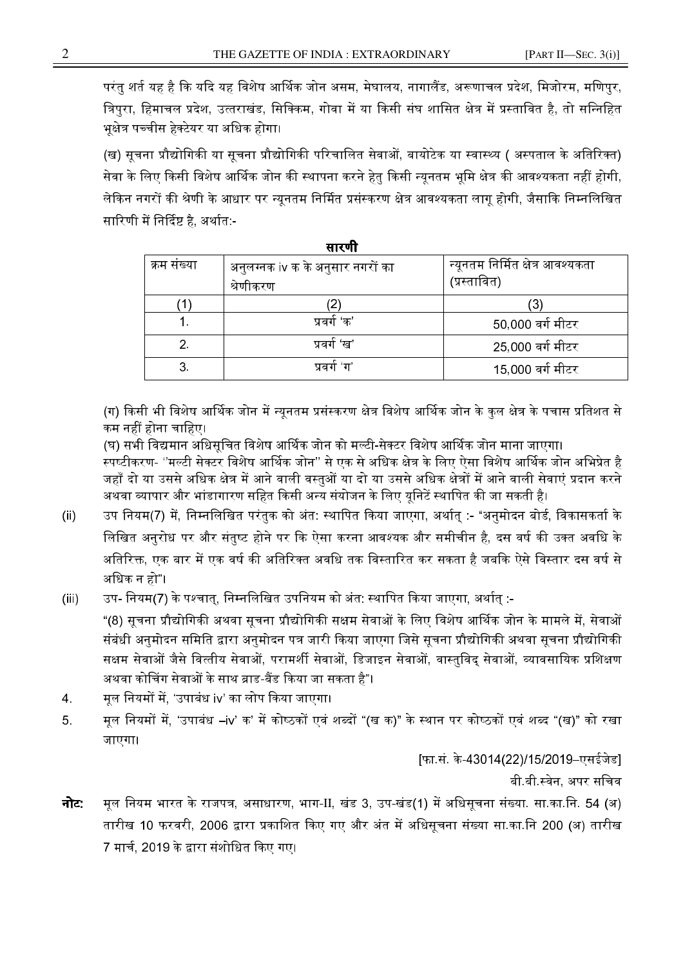परंतु शर्त यह है कि यदि यह विशेष आर्थिक जोन असम, मेघालय, नागालैंड, अरूणाचल प्रदेश, मिजोरम, मणिपुर, त्रिपुरा, हिमाचल प्रदेश, उत्तराखंड, सिक्किम, गोवा में या किसी संघ शासित क्षेत्र में प्रस्तावित है, तो सन्निहित भुक्षेत्र पच्चीस हेक्टेयर या अधिक होगा।

(ख) सूचना प्रौद्योगिकी या सूचना प्रौद्योगिकी परिचालित सेवाओं, बायोटेक या स्वास्थ्य ( अस्पताल के अतिरिक्त) सेवा के लिए किसी विशेष आर्थिक जोन की स्थापना करने हेतु किसी न्युनतम भूमि क्षेत्र की आवश्यकता नहीं होगी. लेकिन नगरों की श्रेणी के आधार पर न्यनतम निर्मित प्रसंस्करण क्षेत्र आवश्यकता लाग होगी. जैसाकि निम्नलिखित सारिणी में निर्दिष्ट है, अर्थात:-

| . <b>.</b>  |                                               |                                                  |  |  |  |  |  |  |
|-------------|-----------------------------------------------|--------------------------------------------------|--|--|--|--|--|--|
| क्रम संख्या | अनुलग्नक iv क के अनुसार नगरों का<br>श्रेणीकरण | न्यूनतम निर्मित क्षेत्र आवश्यकता<br>(प्रस्तावित) |  |  |  |  |  |  |
|             |                                               | 3                                                |  |  |  |  |  |  |
|             | प्रवर्ग 'क'                                   | 50,000 वर्ग मीटर                                 |  |  |  |  |  |  |
|             | प्रवर्ग 'ख'                                   | 25,000 वर्ग मीटर                                 |  |  |  |  |  |  |
|             | प्रवर्ग 'ग'                                   | 15,000 वर्ग मीटर                                 |  |  |  |  |  |  |

ਸਾਰਾਸਿ

(ग) किसी भी विशेष आर्थिक जोन में न्युनतम प्रसंस्करण क्षेत्र विशेष आर्थिक जोन के कुल क्षेत्र के पचास प्रतिशत से कम नहीं होना चाहिए।

(घ) सभी विद्यमान अधिसुचित विशेष आर्थिक जोन को मल्टी-सेक्टर विशेष आर्थिक जोन माना जाएगा।

स्पष्टीकरण- ''मल्टी सेक्टर विशेष आर्थिक जोन'' से एक से अधिक क्षेत्र के लिए ऐसा विशेष आर्थिक जोन अभिप्रेत है जहाँ दो या उससे अधिक क्षेत्र में आने वाली वस्तओं या दो या उससे अधिक क्षेत्रों में आने वाली सेवाएं प्रदान करने अथवा व्यापार और भांडागारण सहित किसी अन्य संयोजन के लिए यूनिटें स्थापित की जा सकती है।

- उप नियम(7) में, निम्नलिखित परंतुक को अंत: स्थापित किया जाएगा, अर्थात् :- "अनुमोदन बोर्ड, विकासकर्ता के  $(ii)$ लिखित अनरोध पर और संतष्ट होने पर कि ऐसा करना आवश्यक और समीचीन है. दस वर्ष की उक्त अवधि क<mark>े</mark> अतिरिक्त. एक बार में एक वर्ष की अतिरिक्त अवधि तक विस्तारित कर सकता है जबकि ऐसे विस्तार दस वर्ष से अधिक न हो"।
- उप- नियम(7) के पश्चात्, निम्नलिखित उपनियम को अंत: स्थापित किया जाएगा, अर्थात् :- $(iii)$

"(8) सूचना प्रौद्योगिकी अथवा सूचना प्रौद्योगिकी सक्षम सेवाओं के लिए विशेष आर्थिक जोन के मामले में, सेवाओं संबंधी अनुमोदन समिति द्वारा अनुमोदन पत्र जारी किया जाएगा जिसे सूचना प्रौद्योगिकी अथवा सूचना प्रौद्योगिकी सक्षम सेवाओं जैसे वित्तीय सेवाओं, परामर्शी सेवाओं, डिजाइन सेवाओं, वास्तुविद् सेवाओं, व्यावसायिक प्रशिक्षण अथवा कोचिंग सेवाओं के साथ ब्राड-बैंड किया जा सकता है"।

- मुल नियमों में, 'उपाबंध iv' का लोप किया जाएगा।  $\overline{4}$ .
- मूल नियमों में, 'उपाबंध –iv' क' में कोष्ठकों एवं शब्दों "(ख क)" के स्थान पर कोष्ठकों एवं शब्द "(ख)" को रखा 5. जाएगा।

[फा.सं. के-43014(22)/15/2019–एसईजेड]

बी बी स्वेन, अपर सचिव

मूल नियम भारत के राजपत्र, असाधारण, भाग-II, खंड 3, उप-खंड(1) में अधिसूचना संख्या. सा.का.नि. 54 (अ) नोट: तारीख 10 फरवरी, 2006 द्वारा प्रकाशित किए गए और अंत में अधिसचना संख्या सा.का.नि 200 (अ) तारीख 7 मार्च, 2019 के द्वारा संशोधित किए गए।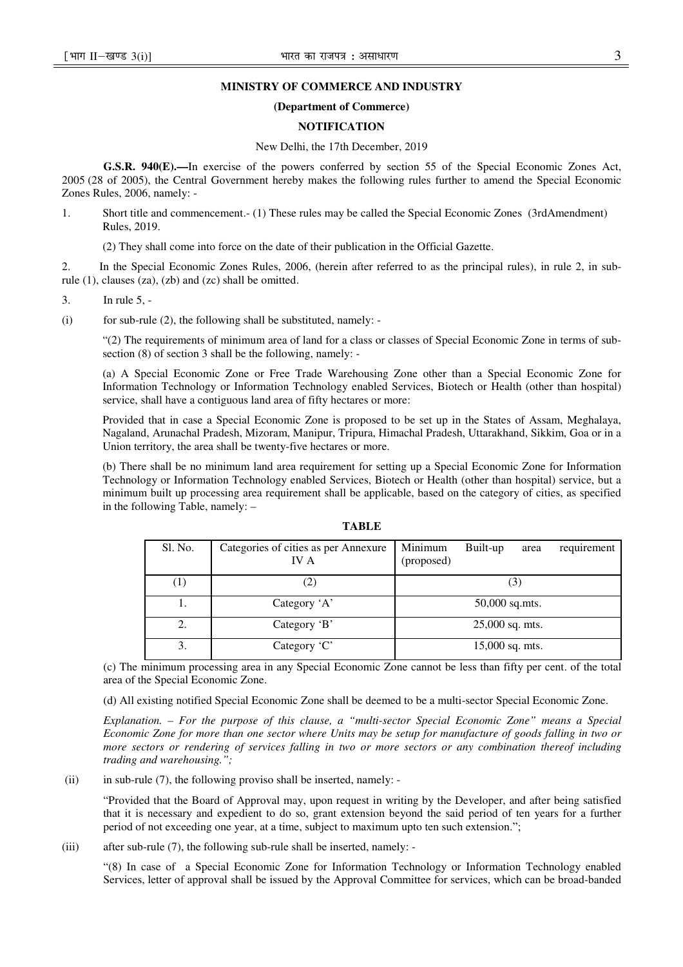### **MINISTRY OF COMMERCE AND INDUSTRY**

# **(Department of Commerce)**

# **NOTIFICATION**

## New Delhi, the 17th December, 2019

**G.S.R. 940(E).—**In exercise of the powers conferred by section 55 of the Special Economic Zones Act, 2005 (28 of 2005), the Central Government hereby makes the following rules further to amend the Special Economic Zones Rules, 2006, namely: -

1. Short title and commencement.- (1) These rules may be called the Special Economic Zones (3rdAmendment) Rules, 2019.

(2) They shall come into force on the date of their publication in the Official Gazette.

2. In the Special Economic Zones Rules, 2006, (herein after referred to as the principal rules), in rule 2, in subrule (1), clauses (za), (zb) and (zc) shall be omitted.

3. In rule 5, -

(i) for sub-rule  $(2)$ , the following shall be substituted, namely:

"(2) The requirements of minimum area of land for a class or classes of Special Economic Zone in terms of subsection (8) of section 3 shall be the following, namely: -

(a) A Special Economic Zone or Free Trade Warehousing Zone other than a Special Economic Zone for Information Technology or Information Technology enabled Services, Biotech or Health (other than hospital) service, shall have a contiguous land area of fifty hectares or more:

Provided that in case a Special Economic Zone is proposed to be set up in the States of Assam, Meghalaya, Nagaland, Arunachal Pradesh, Mizoram, Manipur, Tripura, Himachal Pradesh, Uttarakhand, Sikkim, Goa or in a Union territory, the area shall be twenty-five hectares or more.

(b) There shall be no minimum land area requirement for setting up a Special Economic Zone for Information Technology or Information Technology enabled Services, Biotech or Health (other than hospital) service, but a minimum built up processing area requirement shall be applicable, based on the category of cities, as specified in the following Table, namely: –

| יי<br>u |  |
|---------|--|
|         |  |

| Sl. No.             | Categories of cities as per Annexure<br>IV A | Minimum<br>(proposed)                 | Built-up          | area | requirement |
|---------------------|----------------------------------------------|---------------------------------------|-------------------|------|-------------|
| $\scriptstyle{(1)}$ | (2)                                          |                                       | 3                 |      |             |
| 1.                  | Category 'A'                                 | $50,000$ sq.mts.<br>$25,000$ sq. mts. |                   |      |             |
| 2.                  | Category 'B'                                 |                                       |                   |      |             |
| 3.                  | Category 'C'                                 |                                       | $15,000$ sq. mts. |      |             |

(c) The minimum processing area in any Special Economic Zone cannot be less than fifty per cent. of the total area of the Special Economic Zone.

(d) All existing notified Special Economic Zone shall be deemed to be a multi-sector Special Economic Zone.

*Explanation. – For the purpose of this clause, a "multi-sector Special Economic Zone" means a Special Economic Zone for more than one sector where Units may be setup for manufacture of goods falling in two or more sectors or rendering of services falling in two or more sectors or any combination thereof including trading and warehousing.";* 

(ii) in sub-rule  $(7)$ , the following proviso shall be inserted, namely: -

"Provided that the Board of Approval may, upon request in writing by the Developer, and after being satisfied that it is necessary and expedient to do so, grant extension beyond the said period of ten years for a further period of not exceeding one year, at a time, subject to maximum upto ten such extension.";

(iii) after sub-rule (7), the following sub-rule shall be inserted, namely: -

"(8) In case of a Special Economic Zone for Information Technology or Information Technology enabled Services, letter of approval shall be issued by the Approval Committee for services, which can be broad-banded